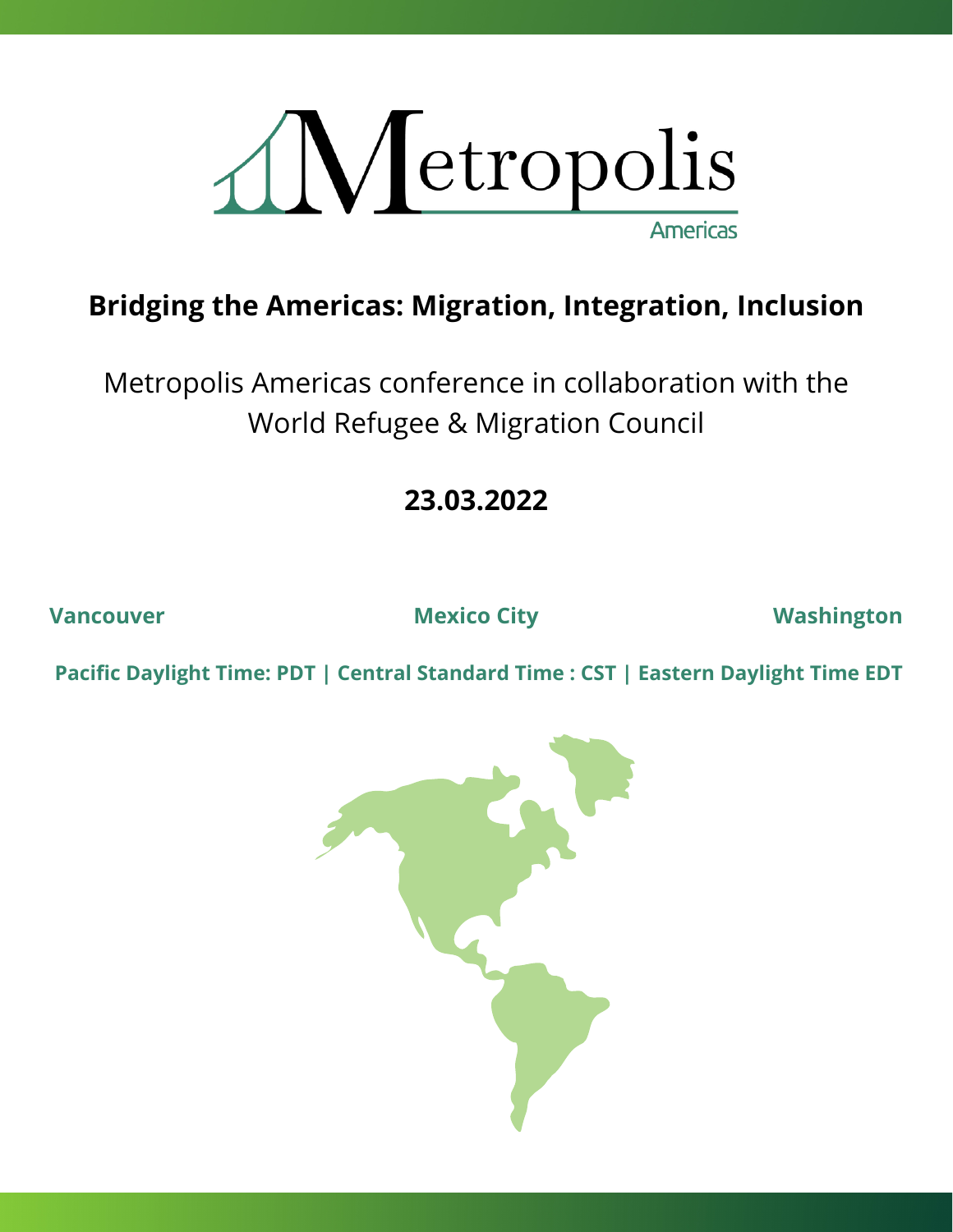

# **Bridging the Americas: Migration, Integration, Inclusion**

Metropolis Americas conference in collaboration with the World Refugee & Migration Council

**23.03.2022**

**Vancouver Mexico City Washington**

**Pacific Daylight Time: PDT | Central Standard Time : CST | Eastern Daylight Time EDT**

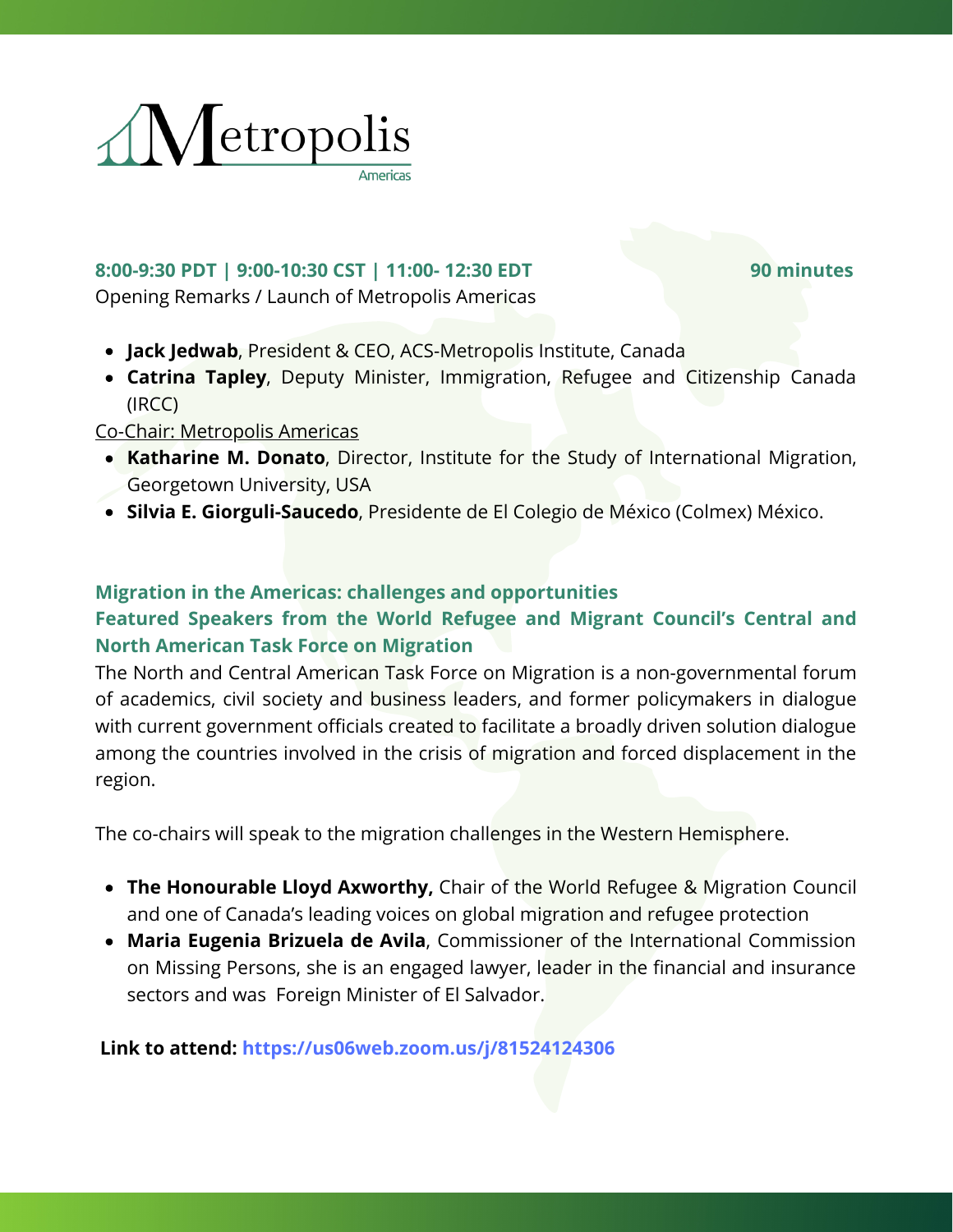

### **8:00-9:30 PDT | 9:00-10:30 CST | 11:00- 12:30 EDT 90 minutes** Opening Remarks / Launch of Metropolis Americas

- **Jack Jedwab**, President & CEO, ACS-Metropolis Institute, Canada
- **Catrina Tapley**, Deputy Minister, Immigration, Refugee and Citizenship Canada (IRCC)

### Co-Chair: Metropolis Americas

- **Katharine M. Donato**, Director, Institute for the Study of International Migration, Georgetown University, USA
- **Silvia E. Giorguli-Saucedo**, Presidente de El Colegio de México (Colmex) México.

### **Migration in the Americas: challenges and opportunities**

## **Featured Speakers from the World Refugee and Migrant Council's Central and North American Task Force on Migration**

The North and Central American Task Force on Migration is a non-governmental forum of academics, civil society and business leaders, and former policymakers in dialogue with current government officials created to facilitate a broadly driven solution dialogue among the countries involved in the crisis of migration and forced displacement in the region.

The co-chairs will speak to the migration challenges in the Western Hemisphere.

- **The Honourable Lloyd Axworthy,** Chair of the World Refugee & Migration Council and one of Canada's leading voices on global migration and refugee protection
- **Maria Eugenia Brizuela de Avila**, Commissioner of the International Commission on Missing Persons, she is an engaged lawyer, leader in the financial and insurance sectors and was Foreign Minister of El Salvador.

**Link to attend: <https://us06web.zoom.us/j/81524124306>**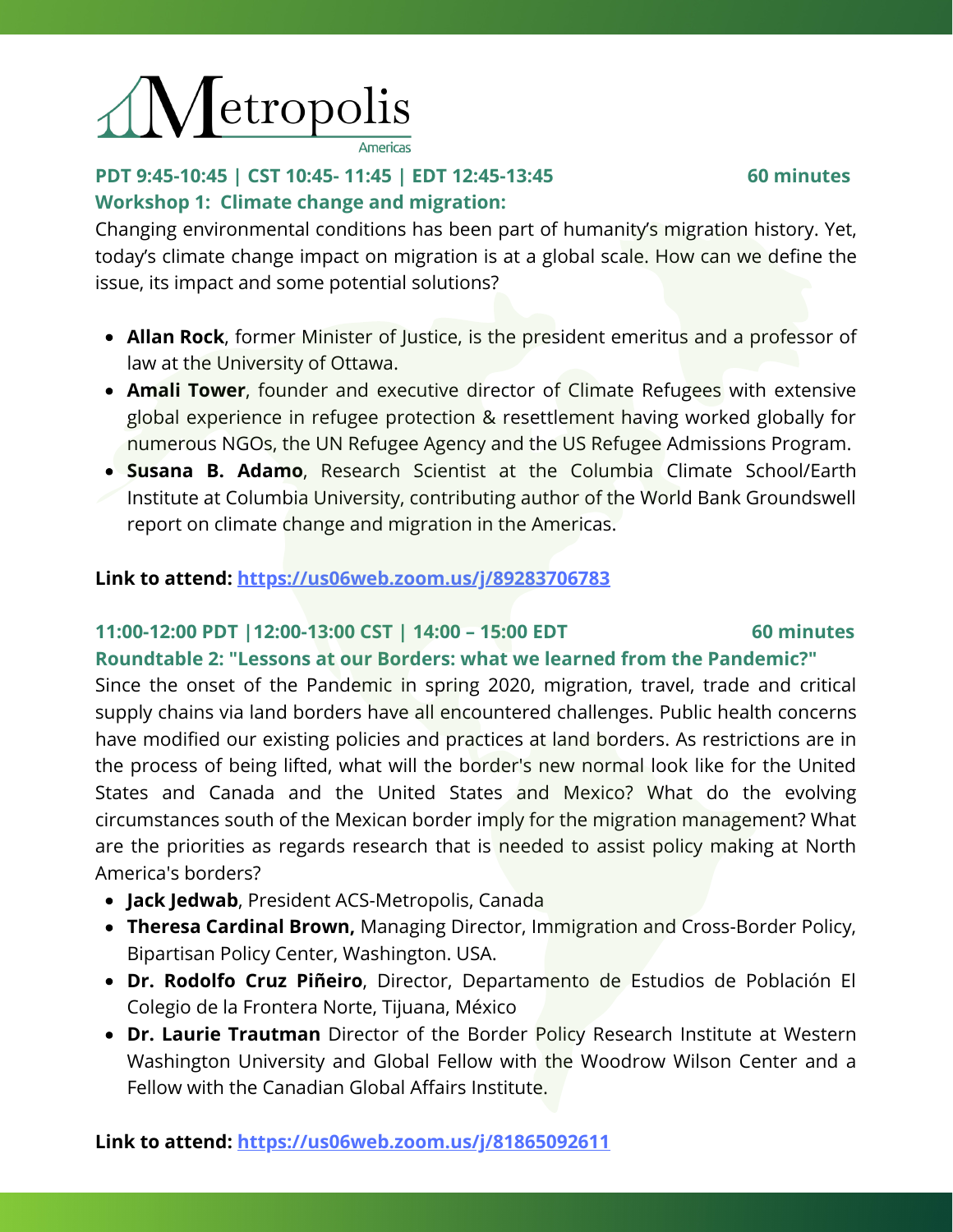

# **PDT 9:45-10:45 | CST 10:45- 11:45 | EDT 12:45-13:45 60 minutes Workshop 1: Climate change and migration:**

Changing environmental conditions has been part of humanity's migration history. Yet, today's climate change impact on migration is at a global scale. How can we define the issue, its impact and some potential solutions?

- **Allan Rock**, former Minister of Justice, is the president emeritus and a professor of law at the University of Ottawa.
- **Amali Tower**, founder and executive director of Climate Refugees with extensive global experience in refugee protection & resettlement having worked globally for numerous NGOs, the UN Refugee Agency and the US Refugee Admissions Program.
- **Susana B. Adamo**, Research Scientist at the Columbia Climate School/Earth Institute at Columbia University, contributing author of the World Bank Groundswell report on climate change and migration in the Americas.

### **Link to attend: <https://us06web.zoom.us/j/89283706783>**

### **11:00-12:00 PDT |12:00-13:00 CST | 14:00 – 15:00 EDT 60 minutes**

### **Roundtable 2: "Lessons at our Borders: what we learned from the Pandemic?"**

Since the onset of the Pandemic in spring 2020, migration, travel, trade and critical supply chains via land borders have all encountered challenges. Public health concerns have modified our existing policies and practices at land borders. As restrictions are in the process of being lifted, what will the border's new normal look like for the United States and Canada and the United States and Mexico? What do the evolving circumstances south of the Mexican border imply for the migration management? What are the priorities as regards research that is needed to assist policy making at North America's borders?

- **Jack Jedwab**, President ACS-Metropolis, Canada
- **Theresa Cardinal Brown,** Managing Director, Immigration and Cross-Border Policy, Bipartisan Policy Center, Washington. USA.
- **Dr. Rodolfo Cruz Piñeiro**, Director, Departamento de Estudios de Población El Colegio de la Frontera Norte, Tijuana, México
- **Dr. Laurie Trautman** Director of the Border Policy Research Institute at Western Washington University and Global Fellow with the Woodrow Wilson Center and a Fellow with the Canadian Global Affairs Institute.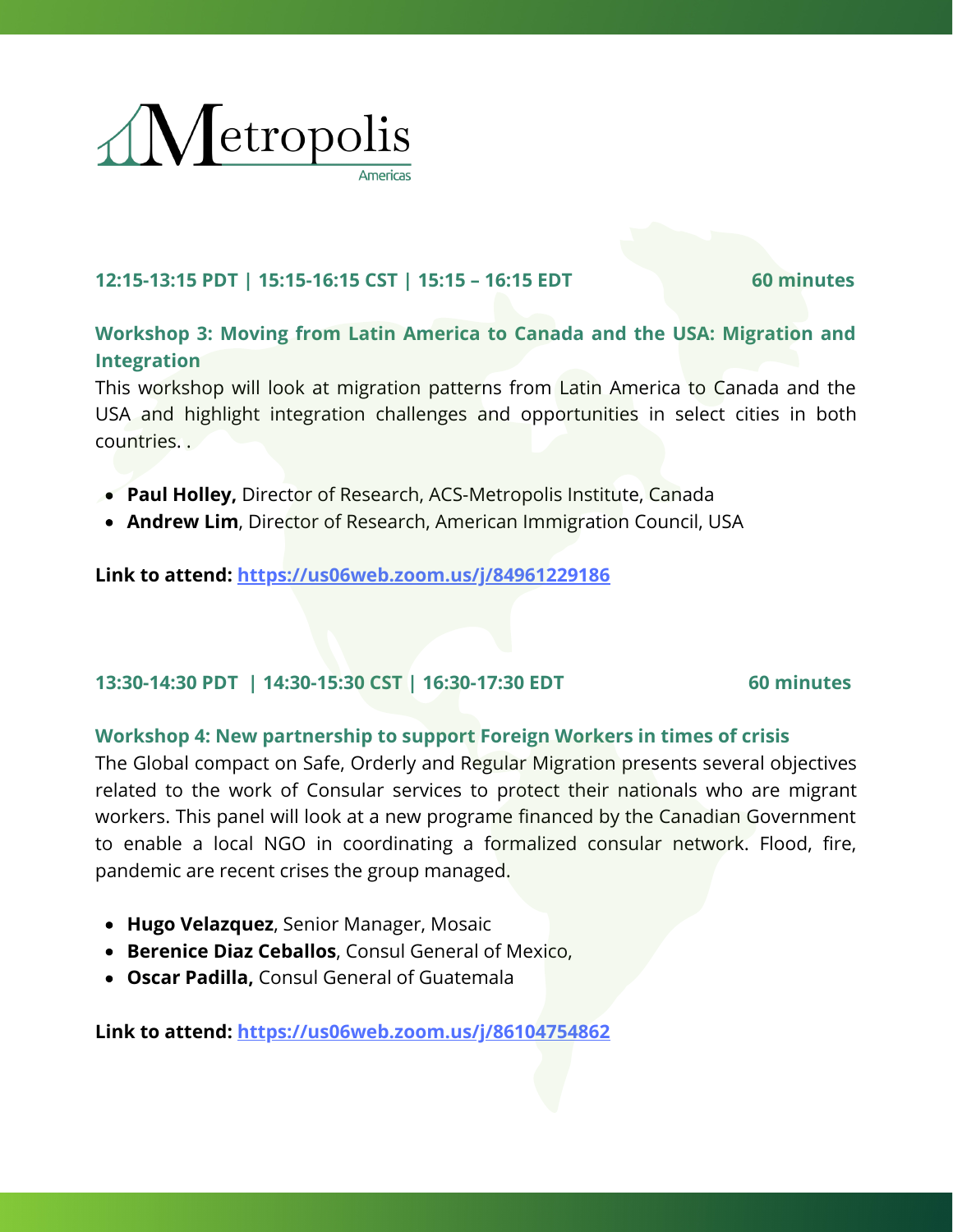

### **12:15-13:15 PDT | 15:15-16:15 CST | 15:15 – 16:15 EDT 60 minutes**

## **Workshop 3: Moving from Latin America to Canada and the USA: Migration and Integration**

This workshop will look at migration patterns from Latin America to Canada and the USA and highlight integration challenges and opportunities in select cities in both countries. .

- **Paul Holley,** Director of Research, ACS-Metropolis Institute, Canada
- **Andrew Lim**, Director of Research, American Immigration Council, USA

**Link to attend: <https://us06web.zoom.us/j/84961229186>**

### **13:30-14:30 PDT | 14:30-15:30 CST | 16:30-17:30 EDT 60 minutes**

### **Workshop 4: New partnership to support Foreign Workers in times of crisis**

The Global compact on Safe, Orderly and Regular Migration presents several objectives related to the work of Consular services to protect their nationals who are migrant workers. This panel will look at a new programe financed by the Canadian Government to enable a local NGO in coordinating a formalized consular network. Flood, fire, pandemic are recent crises the group managed.

- **Hugo Velazquez**, Senior Manager, Mosaic
- **Berenice Diaz Ceballos**, Consul General of Mexico,
- **Oscar Padilla,** Consul General of Guatemala

**Link to attend: <https://us06web.zoom.us/j/86104754862>**